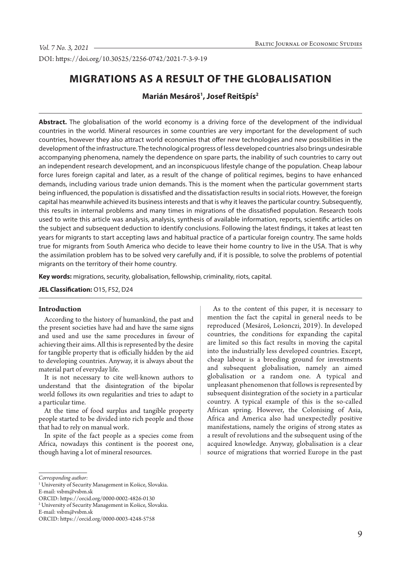DOI: https://doi.org/10.30525/2256-0742/2021-7-3-9-19

# **MIGRATIONS AS A RESULT OF THE GLOBALISATION**

**Marián Mesároš1 , Josef Reitšpís2**

**Abstract.** The globalisation of the world economy is a driving force of the development of the individual countries in the world. Mineral resources in some countries are very important for the development of such countries, however they also attract world economies that offer new technologies and new possibilities in the development of the infrastructure. The technological progress of less developed countries also brings undesirable accompanying phenomena, namely the dependence on spare parts, the inability of such countries to carry out an independent research development, and an inconspicuous lifestyle change of the population. Cheap labour force lures foreign capital and later, as a result of the change of political regimes, begins to have enhanced demands, including various trade union demands. This is the moment when the particular government starts being influenced, the population is dissatisfied and the dissatisfaction results in social riots. However, the foreign capital has meanwhile achieved its business interests and that is why it leaves the particular country. Subsequently, this results in internal problems and many times in migrations of the dissatisfied population. Research tools used to write this article was analysis, analysis, synthesis of available information, reports, scientific articles on the subject and subsequent deduction to identify conclusions. Following the latest findings, it takes at least ten years for migrants to start accepting laws and habitual practice of a particular foreign country. The same holds true for migrants from South America who decide to leave their home country to live in the USA. That is why the assimilation problem has to be solved very carefully and, if it is possible, to solve the problems of potential migrants on the territory of their home country.

**Key words:** migrations, security, globalisation, fellowship, criminality, riots, capital.

**JEL Classification:** O15, F52, D24

#### **Introduction**

According to the history of humankind, the past and the present societies have had and have the same signs and used and use the same procedures in favour of achieving their aims. All this is represented by the desire for tangible property that is officially hidden by the aid to developing countries. Anyway, it is always about the material part of everyday life.

It is not necessary to cite well-known authors to understand that the disintegration of the bipolar world follows its own regularities and tries to adapt to a particular time.

At the time of food surplus and tangible property people started to be divided into rich people and those that had to rely on manual work.

In spite of the fact people as a species come from Africa, nowadays this continent is the poorest one, though having a lot of mineral resources.

As to the content of this paper, it is necessary to mention the fact the capital in general needs to be reproduced (Mesároš, Lošonczi, 2019). In developed countries, the conditions for expanding the capital are limited so this fact results in moving the capital into the industrially less developed countries. Except, cheap labour is a breeding ground for investments and subsequent globalisation, namely an aimed globalisation or a random one. A typical and unpleasant phenomenon that follows is represented by subsequent disintegration of the society in a particular country. A typical example of this is the so-called African spring. However, the Colonising of Asia, Africa and America also had unexpectedly positive manifestations, namely the origins of strong states as a result of revolutions and the subsequent using of the acquired knowledge. Anyway, globalisation is a clear source of migrations that worried Europe in the past

*Corresponding author:*

<sup>&</sup>lt;sup>1</sup> University of Security Management in Košice, Slovakia.

E-mail: vsbm@vsbm.sk

ORCID: https://orcid.org/0000-0002-4826-0130

<sup>2</sup> University of Security Management in Košice, Slovakia.

E-mail: vsbm@vsbm.sk

ORCID: https://orcid.org/0000-0003-4248-5758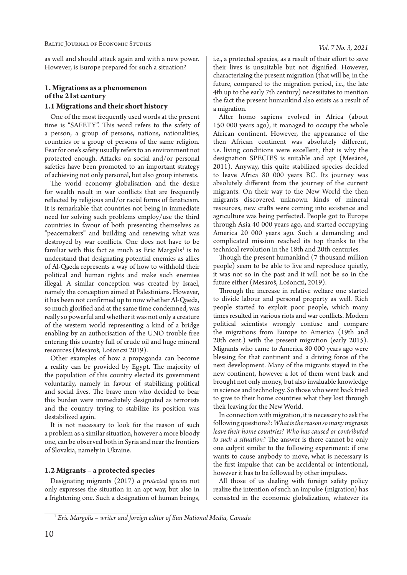as well and should attack again and with a new power. However, is Europe prepared for such a situation?

# **1. Migrations as a phenomenon of the 21st century**

### **1.1 Migrations and their short history**

One of the most frequently used words at the present time is "SAFETY". This word refers to the safety of a person, a group of persons, nations, nationalities, countries or a group of persons of the same religion. Fear for one's safety usually refers to an environment not protected enough. Attacks on social and/or personal safeties have been promoted to an important strategy of achieving not only personal, but also group interests.

The world economy globalisation and the desire for wealth result in war conflicts that are frequently reflected by religious and/or racial forms of fanaticism. It is remarkable that countries not being in immediate need for solving such problems employ/use the third countries in favour of both presenting themselves as "peacemakers" and building and renewing what was destroyed by war conflicts. One does not have to be familiar with this fact as much as Eric Margolis<sup>1</sup> is to understand that designating potential enemies as allies of Al-Qaeda represents a way of how to withhold their political and human rights and make such enemies illegal. A similar conception was created by Israel, namely the conception aimed at Palestinians. However, it has been not confirmed up to now whether Al-Qaeda, so much glorified and at the same time condemned, was really so powerful and whether it was not only a creature of the western world representing a kind of a bridge enabling by an authorisation of the UNO trouble free entering this country full of crude oil and huge mineral resources (Mesároš, Lošonczi 2019).

Other examples of how a propaganda can become a reality can be provided by Egypt. The majority of the population of this country elected its government voluntarily, namely in favour of stabilizing political and social lives. The brave men who decided to bear this burden were immediately designated as terrorists and the country trying to stabilize its position was destabilized again.

It is not necessary to look for the reason of such a problem as a similar situation, however a more bloody one, can be observed both in Syria and near the frontiers of Slovakia, namely in Ukraine.

## **1.2 Migrants – a protected species**

Designating migrants (2017) *a protected species* not only expresses the situation in an apt way, but also in a frightening one. Such a designation of human beings,

i.e., a protected species, as a result of their effort to save their lives is unsuitable but not dignified. However, characterizing the present migration (that will be, in the future, compared to the migration period, i.e., the late 4th up to the early 7th century) necessitates to mention the fact the present humankind also exists as a result of a migration.

After homo sapiens evolved in Africa (about 150 000 years ago), it managed to occupy the whole African continent. However, the appearance of the then African continent was absolutely different, i.e. living conditions were excellent, that is why the designation SPECIES is suitable and apt (Mesároš, 2011). Anyway, this quite stabilized species decided to leave Africa 80 000 years BC. Its journey was absolutely different from the journey of the current migrants. On their way to the New World the then migrants discovered unknown kinds of mineral resources, new crafts were coming into existence and agriculture was being perfected. People got to Europe through Asia 40 000 years ago, and started occupying America 20 000 years ago. Such a demanding and complicated mission reached its top thanks to the technical revolution in the 18th and 20th centuries.

Though the present humankind (7 thousand million people) seem to be able to live and reproduce quietly, it was not so in the past and it will not be so in the future either (Mesároš, Lošonczi, 2019).

Through the increase in relative welfare one started to divide labour and personal property as well. Rich people started to exploit poor people, which many times resulted in various riots and war conflicts. Modern political scientists wrongly confuse and compare the migrations from Europe to America (19th and 20th cent.) with the present migration (early 2015). Migrants who came to America 80 000 years ago were blessing for that continent and a driving force of the next development. Many of the migrants stayed in the new continent, however a lot of them went back and brought not only money, but also invaluable knowledge in science and technology. So those who went back tried to give to their home countries what they lost through their leaving for the New World.

In connection with migration, it is necessary to ask the following questions?: *What is the reason so many migrants leave their home countries? Who has caused or contributed to such a situation?* The answer is there cannot be only one culprit similar to the following experiment: if one wants to cause anybody to move, what is necessary is the first impulse that can be accidental or intentional, however it has to be followed by other impulses.

All those of us dealing with foreign safety policy realize the intention of such an impulse (migration) has consisted in the economic globalization, whatever its

<sup>1</sup> *Eric Margolis – writer and foreign editor of Sun National Media, Canada*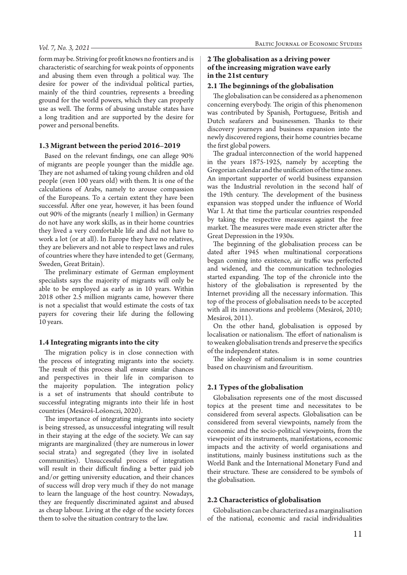#### *Vol. 7, No. 3, 2021*

form may be. Striving for profit knows no frontiers and is characteristic of searching for weak points of opponents and abusing them even through a political way. The desire for power of the individual political parties, mainly of the third countries, represents a breeding ground for the world powers, which they can properly use as well. The forms of abusing unstable states have a long tradition and are supported by the desire for power and personal benefits.

### **1.3 Migrant between the period 2016–2019**

Based on the relevant findings, one can allege 90% of migrants are people younger than the middle age. They are not ashamed of taking young children and old people (even 100 years old) with them. It is one of the calculations of Arabs, namely to arouse compassion of the Europeans. To a certain extent they have been successful. After one year, however, it has been found out 90% of the migrants (nearly 1 million) in Germany do not have any work skills, as in their home countries they lived a very comfortable life and did not have to work a lot (or at all). In Europe they have no relatives, they are believers and not able to respect laws and rules of countries where they have intended to get (Germany, Sweden, Great Britain).

The preliminary estimate of German employment specialists says the majority of migrants will only be able to be employed as early as in 10 years. Within 2018 other 2.5 million migrants came, however there is not a specialist that would estimate the costs of tax payers for covering their life during the following 10 years.

### **1.4 Integrating migrants into the city**

The migration policy is in close connection with the process of integrating migrants into the society. The result of this process shall ensure similar chances and perspectives in their life in comparison to the majority population. The integration policy is a set of instruments that should contribute to successful integrating migrants into their life in host countries (Mesároš-Lošonczi, 2020).

The importance of integrating migrants into society is being stressed, as unsuccessful integrating will result in their staying at the edge of the society. We can say migrants are marginalized (they are numerous in lower social strata) and segregated (they live in isolated communities). Unsuccessful process of integration will result in their difficult finding a better paid job and/or getting university education, and their chances of success will drop very much if they do not manage to learn the language of the host country. Nowadays, they are frequently discriminated against and abused as cheap labour. Living at the edge of the society forces them to solve the situation contrary to the law.

### **2 The globalisation as a driving power of the increasing migration wave early in the 21st century**

### **2.1 The beginnings of the globalisation**

The globalisation can be considered as a phenomenon concerning everybody. The origin of this phenomenon was contributed by Spanish, Portuguese, British and Dutch seafarers and businessmen. Thanks to their discovery journeys and business expansion into the newly discovered regions, their home countries became the first global powers.

The gradual interconnection of the world happened in the years 1875-1925, namely by accepting the Gregorian calendar and the unification of the time zones. An important supporter of world business expansion was the Industrial revolution in the second half of the 19th century. The development of the business expansion was stopped under the influence of World War I. At that time the particular countries responded by taking the respective measures against the free market. The measures were made even stricter after the Great Depression in the 1930s.

The beginning of the globalisation process can be dated after 1945 when multinational corporations began coming into existence, air traffic was perfected and widened, and the communication technologies started expanding. The top of the chronicle into the history of the globalisation is represented by the Internet providing all the necessary information. This top of the process of globalisation needs to be accepted with all its innovations and problems (Mesároš, 2010; Mesároš, 2011).

On the other hand, globalisation is opposed by localisation or nationalism. The effort of nationalism is to weaken globalisation trends and preserve the specifics of the independent states.

The ideology of nationalism is in some countries based on chauvinism and favouritism.

## **2.1 Types of the globalisation**

Globalisation represents one of the most discussed topics at the present time and necessitates to be considered from several aspects. Globalisation can be considered from several viewpoints, namely from the economic and the socio-political viewpoints, from the viewpoint of its instruments, manifestations, economic impacts and the activity of world organisations and institutions, mainly business institutions such as the World Bank and the International Monetary Fund and their structure. These are considered to be symbols of the globalisation.

### **2.2 Characteristics of globalisation**

Globalisation can be characterized as a marginalisation of the national, economic and racial individualities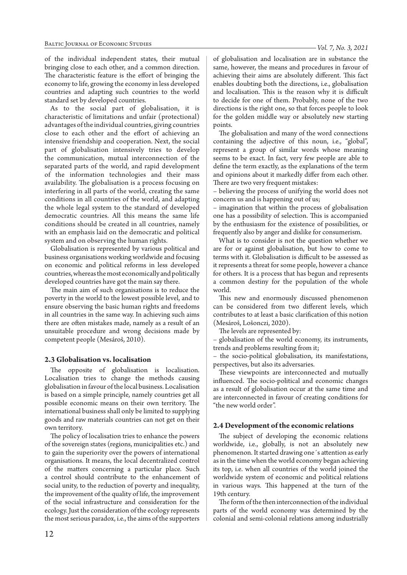of the individual independent states, their mutual bringing close to each other, and a common direction. The characteristic feature is the effort of bringing the economy to life, growing the economy in less developed countries and adapting such countries to the world standard set by developed countries.

As to the social part of globalisation, it is characteristic of limitations and unfair (protectional) advantages of the individual countries, giving countries close to each other and the effort of achieving an intensive friendship and cooperation. Next, the social part of globalisation intensively tries to develop the communication, mutual interconnection of the separated parts of the world, and rapid development of the information technologies and their mass availability. The globalisation is a process focusing on interfering in all parts of the world, creating the same conditions in all countries of the world, and adapting the whole legal system to the standard of developed democratic countries. All this means the same life conditions should be created in all countries, namely with an emphasis laid on the democratic and political system and on observing the human rights.

Globalisation is represented by various political and business organisations working worldwide and focusing on economic and political reforms in less developed countries, whereas the most economically and politically developed countries have got the main say there.

The main aim of such organisations is to reduce the poverty in the world to the lowest possible level, and to ensure observing the basic human rights and freedoms in all countries in the same way. In achieving such aims there are often mistakes made, namely as a result of an unsuitable procedure and wrong decisions made by competent people (Mesároš, 2010).

## **2.3 Globalisation vs. localisation**

The opposite of globalisation is localisation. Localisation tries to change the methods causing globalisation in favour of the local business. Localisation is based on a simple principle, namely countries get all possible economic means on their own territory. The international business shall only be limited to supplying goods and raw materials countries can not get on their own territory.

The policy of localisation tries to enhance the powers of the sovereign states (regions, municipalities etc.) and to gain the superiority over the powers of international organisations. It means, the local decentralized control of the matters concerning a particular place. Such a control should contribute to the enhancement of social unity, to the reduction of poverty and inequality, the improvement of the quality of life, the improvement of the social infrastructure and consideration for the ecology. Just the consideration of the ecology represents the most serious paradox, i.e., the aims of the supporters of globalisation and localisation are in substance the same, however, the means and procedures in favour of achieving their aims are absolutely different. This fact enables doubting both the directions, i.e., globalisation and localisation. This is the reason why it is difficult to decide for one of them. Probably, none of the two directions is the right one, so that forces people to look for the golden middle way or absolutely new starting points.

The globalisation and many of the word connections containing the adjective of this noun, i.e., "global", represent a group of similar words whose meaning seems to be exact. In fact, very few people are able to define the term exactly, as the explanations of the term and opinions about it markedly differ from each other. There are two very frequent mistakes:

– believing the process of unifying the world does not concern us and is happening out of us;

– imagination that within the process of globalisation one has a possibility of selection. This is accompanied by the enthusiasm for the existence of possibilities, or frequently also by anger and dislike for consumerism.

What is to consider is not the question whether we are for or against globalisation, but how to come to terms with it. Globalisation is difficult to be assessed as it represents a threat for some people, however a chance for others. It is a process that has begun and represents a common destiny for the population of the whole world.

This new and enormously discussed phenomenon can be considered from two different levels, which contributes to at least a basic clarification of this notion (Mesároš, Lošonczi, 2020).

The levels are represented by:

– globalisation of the world economy, its instruments, trends and problems resulting from it;

– the socio-political globalisation, its manifestations, perspectives, but also its adversaries.

These viewpoints are interconnected and mutually influenced. The socio-political and economic changes as a result of globalisation occur at the same time and are interconnected in favour of creating conditions for "the new world order".

## **2.4 Development of the economic relations**

The subject of developing the economic relations worldwide, i.e., globally, is not an absolutely new phenomenon. It started drawing one´s attention as early as in the time when the world economy began achieving its top, i.e. when all countries of the world joined the worldwide system of economic and political relations in various ways. This happened at the turn of the 19th century.

The form of the then interconnection of the individual parts of the world economy was determined by the colonial and semi-colonial relations among industrially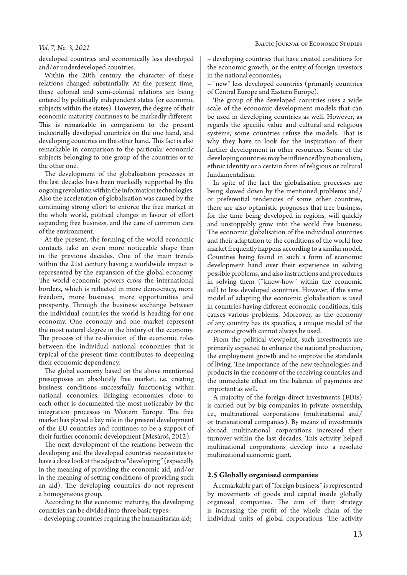#### *Vol. 7, No. 3, 2021*

developed countries and economically less developed and/or underdeveloped countries.

Within the 20th century the character of these relations changed substantially. At the present time, these colonial and semi-colonial relations are being entered by politically independent states (or economic subjects within the states). However, the degree of their economic maturity continues to be markedly different. This is remarkable in comparison to the present industrially developed countries on the one hand, and developing countries on the other hand. This fact is also remarkable in comparison to the particular economic subjects belonging to one group of the countries or to the other one.

The development of the globalisation processes in the last decades have been markedly supported by the ongoing revolution within the information technologies. Also the acceleration of globalisation was caused by the continuing strong effort to enforce the free market in the whole world, political changes in favour of effort expanding free business, and the care of common care of the environment.

At the present, the forming of the world economic contacts take an even more noticeable shape than in the previous decades. One of the main trends within the 21st century having a worldwide impact is represented by the expansion of the global economy. The world economic powers cross the international borders, which is reflected in more democracy, more freedom, more business, more opportunities and prosperity. Through the business exchange between the individual countries the world is heading for one economy. One economy and one market represent the most natural degree in the history of the economy. The process of the re-division of the economic roles between the individual national economies that is typical of the present time contributes to deepening their economic dependency.

The global economy based on the above mentioned presupposes an absolutely free market, i.e. creating business conditions successfully functioning within national economies. Bringing economies close to each other is documented the most noticeably by the integration processes in Western Europe. The free market has played a key role in the present development of the EU countries and continues to be a support of their further economic development (Mesároš, 2012).

The next development of the relations between the developing and the developed countries necessitates to have a close look at the adjective "developing" (especially in the meaning of providing the economic aid, and/or in the meaning of setting conditions of providing such an aid). The developing countries do not represent a homogeneous group.

According to the economic maturity, the developing countries can be divided into three basic types:

– developing countries requiring the humanitarian aid;

– developing countries that have created conditions for the economic growth, or the entry of foreign investors in the national economies;

– "new" less developed countries (primarily countries of Central Europe and Eastern Europe).

The group of the developed countries uses a wide scale of the economic development models that can be used in developing countries as well. However, as regards the specific value and cultural and religious systems, some countries refuse the models. That is why they have to look for the inspiration of their further development in other resources. Some of the developing countries may be influenced by nationalism, ethnic identity or a certain form of religious or cultural fundamentalism.

In spite of the fact the globalisation processes are being slowed down by the mentioned problems and/ or preferential tendencies of some other countries, there are also optimistic prognoses that free business, for the time being developed in regions, will quickly and unstoppably grow into the world free business. The economic globalisation of the individual countries and their adaptation to the conditions of the world free market frequently happens according to a similar model. Countries being found in such a form of economic development hand over their experience in solving possible problems, and also instructions and procedures in solving them ("know-how" within the economic aid) to less developed countries. However, if the same model of adapting the economic globalisation is used in countries having different economic conditions, this causes various problems. Moreover, as the economy of any country has its specifics, a unique model of the economic growth cannot always be used.

From the political viewpoint, such investments are primarily expected to enhance the national production, the employment growth and to improve the standards of living. The importance of the new technologies and products in the economy of the receiving countries and the immediate effect on the balance of payments are important as well.

A majority of the foreign direct investments (FDIs) is carried out by big companies in private ownership, i.e., multinational corporations (multinational and/ or transnational companies). By means of investments abroad multinational corporations increased their turnover within the last decades. This activity helped multinational corporations develop into a resolute multinational economic giant.

#### **2.5 Globally organised companies**

A remarkable part of "foreign business" is represented by movements of goods and capital inside globally organised companies. The aim of their strategy is increasing the profit of the whole chain of the individual units of global corporations. The activity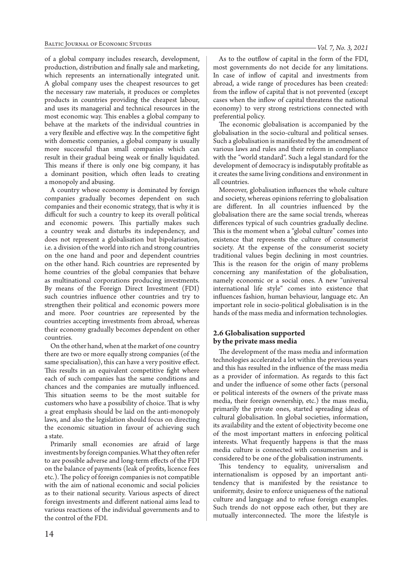of a global company includes research, development, production, distribution and finally sale and marketing, which represents an internationally integrated unit. A global company uses the cheapest resources to get the necessary raw materials, it produces or completes products in countries providing the cheapest labour, and uses its managerial and technical resources in the most economic way. This enables a global company to behave at the markets of the individual countries in a very flexible and effective way. In the competitive fight with domestic companies, a global company is usually more successful than small companies which can result in their gradual being weak or finally liquidated. This means if there is only one big company, it has a dominant position, which often leads to creating a monopoly and abusing.

A country whose economy is dominated by foreign companies gradually becomes dependent on such companies and their economic strategy, that is why it is difficult for such a country to keep its overall political and economic powers. This partially makes such a country weak and disturbs its independency, and does not represent a globalisation but bipolarisation, i.e. a division of the world into rich and strong countries on the one hand and poor and dependent countries on the other hand. Rich countries are represented by home countries of the global companies that behave as multinational corporations producing investments. By means of the Foreign Direct Investment (FDI) such countries influence other countries and try to strengthen their political and economic powers more and more. Poor countries are represented by the countries accepting investments from abroad, whereas their economy gradually becomes dependent on other countries.

On the other hand, when at the market of one country there are two or more equally strong companies (of the same specialisation), this can have a very positive effect. This results in an equivalent competitive fight where each of such companies has the same conditions and chances and the companies are mutually influenced. This situation seems to be the most suitable for customers who have a possibility of choice. That is why a great emphasis should be laid on the anti-monopoly laws, and also the legislation should focus on directing the economic situation in favour of achieving such a state.

Primarily small economies are afraid of large investments by foreign companies. What they often refer to are possible adverse and long-term effects of the FDI on the balance of payments (leak of profits, licence fees etc.). The policy of foreign companies is not compatible with the aim of national economic and social policies as to their national security. Various aspects of direct foreign investments and different national aims lead to various reactions of the individual governments and to the control of the FDI.

As to the outflow of capital in the form of the FDI, most governments do not decide for any limitations. In case of inflow of capital and investments from abroad, a wide range of procedures has been created: from the inflow of capital that is not prevented (except cases when the inflow of capital threatens the national economy) to very strong restrictions connected with preferential policy.

The economic globalisation is accompanied by the globalisation in the socio-cultural and political senses. Such a globalisation is manifested by the amendment of various laws and rules and their reform in compliance with the "world standard". Such a legal standard for the development of democracy is indisputably profitable as it creates the same living conditions and environment in all countries.

Moreover, globalisation influences the whole culture and society, whereas opinions referring to globalisation are different. In all countries influenced by the globalisation there are the same social trends, whereas differences typical of such countries gradually decline. This is the moment when a "global culture" comes into existence that represents the culture of consumerist society. At the expense of the consumerist society traditional values begin declining in most countries. This is the reason for the origin of many problems concerning any manifestation of the globalisation, namely economic or a social ones. A new "universal international life style" comes into existence that influences fashion, human behaviour, language etc. An important role in socio-political globalisation is in the hands of the mass media and information technologies.

### **2.6 Globalisation supported by the private mass media**

The development of the mass media and information technologies accelerated a lot within the previous years and this has resulted in the influence of the mass media as a provider of information. As regards to this fact and under the influence of some other facts (personal or political interests of the owners of the private mass media, their foreign ownership, etc.) the mass media, primarily the private ones, started spreading ideas of cultural globalisation. In global societies, information, its availability and the extent of objectivity become one of the most important matters in enforcing political interests. What frequently happens is that the mass media culture is connected with consumerism and is considered to be one of the globalisation instruments.

This tendency to equality, universalism and internationalism is opposed by an important antitendency that is manifested by the resistance to uniformity, desire to enforce uniqueness of the national culture and language and to refuse foreign examples. Such trends do not oppose each other, but they are mutually interconnected. The more the lifestyle is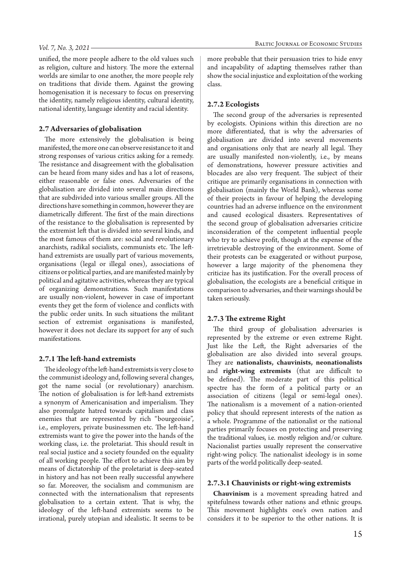unified, the more people adhere to the old values such as religion, culture and history. The more the external worlds are similar to one another, the more people rely on traditions that divide them. Against the growing homogenisation it is necessary to focus on preserving the identity, namely religious identity, cultural identity, national identity, language identity and racial identity.

### **2.7 Adversaries of globalisation**

The more extensively the globalisation is being manifested, the more one can observe resistance to it and strong responses of various critics asking for a remedy. The resistance and disagreement with the globalisation can be heard from many sides and has a lot of reasons, either reasonable or false ones. Adversaries of the globalisation are divided into several main directions that are subdivided into various smaller groups. All the directions have something in common, however they are diametrically different. The first of the main directions of the resistance to the globalisation is represented by the extremist left that is divided into several kinds, and the most famous of them are: social and revolutionary anarchists, radikal socialists, communists etc. The lefthand extremists are usually part of various movements, organisations (legal or illegal ones), associations of citizens or political parties, and are manifested mainly by political and agitative activities, whereas they are typical of organizing demonstrations. Such manifestations are usually non-violent, however in case of important events they get the form of violence and conflicts with the public order units. In such situations the militant section of extremist organisations is manifested, however it does not declare its support for any of such manifestations.

#### **2.7.1 The left-hand extremists**

The ideology of the left-hand extremists is very close to the communist ideology and, following several changes, got the name social (or revolutionary) anarchism. The notion of globalisation is for left-hand extremists a synonym of Americanisation and imperialism. They also promulgate hatred towards capitalism and class enemies that are represented by rich "bourgeoisie", i.e., employers, private businessmen etc. The left-hand extremists want to give the power into the hands of the working class, i.e. the proletariat. This should result in real social justice and a society founded on the equality of all working people. The effort to achieve this aim by means of dictatorship of the proletariat is deep-seated in history and has not been really successful anywhere so far. Moreover, the socialism and communism are connected with the internationalism that represents globalisation to a certain extent. That is why, the ideology of the left-hand extremists seems to be irrational, purely utopian and idealistic. It seems to be

more probable that their persuasion tries to hide envy and incapability of adapting themselves rather than show the social injustice and exploitation of the working class.

#### **2.7.2 Ecologists**

The second group of the adversaries is represented by ecologists. Opinions within this direction are no more differentiated, that is why the adversaries of globalisation are divided into several movements and organisations only that are nearly all legal. They are usually manifested non-violently, i.e., by means of demonstrations, however pressure activities and blocades are also very frequent. The subject of their critique are primarily organisations in connection with globalisation (mainly the World Bank), whereas some of their projects in favour of helping the developing countries had an adverse influence on the environment and caused ecological disasters. Representatives of the second group of globalisation adversaries criticize inconsideration of the competent influential people who try to achieve profit, though at the expense of the irretrievable destroying of the environment. Some of their protests can be exaggerated or without purpose, however a large majority of the phenomena they criticize has its justification. For the overall process of globalisation, the ecologists are a beneficial critique in comparison to adversaries, and their warnings should be taken seriously.

#### **2.7.3 The extreme Right**

The third group of globalisation adversaries is represented by the extreme or even extreme Right. Just like the Left, the Right adversaries of the globalisation are also divided into several groups. They are **nationalists, chauvinists, neonationalists** and **right-wing extremists** (that are difficult to be defined). The moderate part of this political spectre has the form of a political party or an association of citizens (legal or semi-legal ones). The nationalism is a movement of a nation-oriented policy that should represent interests of the nation as a whole. Programme of the nationalist or the national parties primarily focuses on protecting and preserving the traditional values, i.e. mostly religion and/or culture. Nacionalist parties usually represent the conservative right-wing policy. The nationalist ideology is in some parts of the world politically deep-seated.

### **2.7.3.1 Chauvinists or right-wing extremists**

**Chauvinism** is a movement spreading hatred and spitefulness towards other nations and ethnic groups. This movement highlights one's own nation and considers it to be superior to the other nations. It is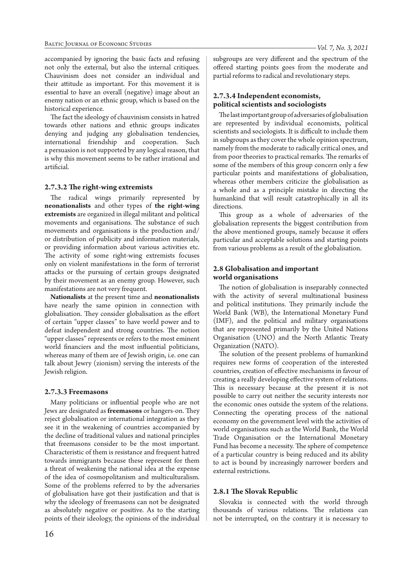accompanied by ignoring the basic facts and refusing not only the external, but also the internal critiques. Chauvinism does not consider an individual and their attitude as important. For this movement it is essential to have an overall (negative) image about an enemy nation or an ethnic group, which is based on the historical experience.

The fact the ideology of chauvinism consists in hatred towards other nations and ethnic groups indicates denying and judging any globalisation tendencies, international friendship and cooperation. Such a persuasion is not supported by any logical reason, that is why this movement seems to be rather irrational and artificial.

### **2.7.3.2 The right-wing extremists**

The radical wings primarily represented by **neonationalists** and other types of **the right-wing extremists** are organized in illegal militant and political movements and organisations. The substance of such movements and organisations is the production and/ or distribution of publicity and information materials, or providing information about various activities etc. The activity of some right-wing extremists focuses only on violent manifestations in the form of terrorist attacks or the pursuing of certain groups designated by their movement as an enemy group. However, such manifestations are not very frequent.

**Nationalists** at the present time and **neonationalists**  have nearly the same opinion in connection with globalisation. They consider globalisation as the effort of certain "upper classes" to have world power and to defeat independent and strong countries. The notion "upper classes" represents or refers to the most eminent world financiers and the most influential politicians, whereas many of them are of Jewish origin, i.e. one can talk about Jewry (zionism) serving the interests of the Jewish religion.

### **2.7.3.3 Freemasons**

Many politicians or influential people who are not Jews are designated as **freemasons** or hangers-on. They reject globalisation or international integration as they see it in the weakening of countries accompanied by the decline of traditional values and national principles that freemasons consider to be the most important. Characteristic of them is resistance and frequent hatred towards immigrants because these represent for them a threat of weakening the national idea at the expense of the idea of cosmopolitanism and multiculturalism. Some of the problems referred to by the adversaries of globalisation have got their justification and that is why the ideology of freemasons can not be designated as absolutely negative or positive. As to the starting points of their ideology, the opinions of the individual subgroups are very different and the spectrum of the offered starting points goes from the moderate and partial reforms to radical and revolutionary steps.

# **2.7.3.4 Independent economists, political scientists and sociologists**

The last important group of adversaries of globalisation are represented by individual economists, political scientists and sociologists. It is difficult to include them in subgroups as they cover the whole opinion spectrum, namely from the moderate to radically critical ones, and from poor theories to practical remarks. The remarks of some of the members of this group concern only a few particular points and manifestations of globalisation, whereas other members criticize the globalisation as a whole and as a principle mistake in directing the humankind that will result catastrophically in all its directions.

This group as a whole of adversaries of the globalisation represents the biggest contribution from the above mentioned groups, namely because it offers particular and acceptable solutions and starting points from various problems as a result of the globalisation.

# **2.8 Globalisation and important world organisations**

The notion of globalisation is inseparably connected with the activity of several multinational business and political institutions. They primarily include the World Bank (WB), the International Monetary Fund (IMF), and the political and military organisations that are represented primarily by the United Nations Organisation (UNO) and the North Atlantic Treaty Organization (NATO).

The solution of the present problems of humankind requires new forms of cooperation of the interested countries, creation of effective mechanisms in favour of creating a really developing effective system of relations. This is necessary because at the present it is not possible to carry out neither the security interests nor the economic ones outside the system of the relations. Connecting the operating process of the national economy on the government level with the activities of world organisations such as the World Bank, the World Trade Organisation or the International Monetary Fund has become a necessity. The sphere of competence of a particular country is being reduced and its ability to act is bound by increasingly narrower borders and external restrictions.

## **2.8.1 The Slovak Republic**

Slovakia is connected with the world through thousands of various relations. The relations can not be interrupted, on the contrary it is necessary to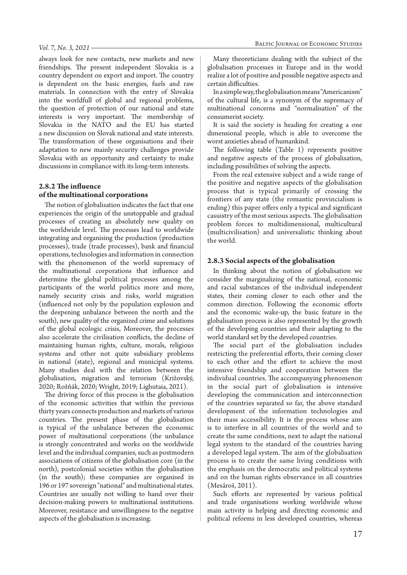#### *Vol. 7, No. 3, 2021*

always look for new contacts, new markets and new friendships. The present independent Slovakia is a country dependent on export and import. The country is dependent on the basic energies, fuels and raw materials. In connection with the entry of Slovakia into the worldfull of global and regional problems, the question of protection of our national and state interests is very important. The membership of Slovakia in the NATO and the EU has started a new discussion on Slovak national and state interests. The transformation of these organisations and their adaptation to new mainly security challenges provide Slovakia with an opportunity and certainty to make discussions in compliance with its long-term interests.

### **2.8.2 The influence of the multinational corporations**

The notion of globalisation indicates the fact that one experiences the origin of the unstoppable and gradual processes of creating an absolutely new quality on the worldwide level. The processes lead to worldwide integrating and organising the production (production processes), trade (trade processes), bank and financial operations, technologies and information in connection with the phenomenon of the world supremacy of the multinational corporations that influence and determine the global political processes among the participants of the world politics more and more, namely security crisis and risks, world migration (influenced not only by the population explosion and the deepening unbalance between the north and the south), new quality of the organized crime and solutions of the global ecologic crisis, Moreover, the processes also accelerate the civilisation conflicts, the decline of maintaining human rights, culture, morals, religious systems and other not quite subsidiary problems in national (state), regional and municipal systems. Many studies deal with the relation between the globalisation, migration and terrorism (Križovský, 2020; Rožňák, 2020; Wright, 2019; Lighutaia, 2021).

The driving force of this process is the globalisation of the economic activities that within the previous thirty years connects production and markets of various countries. The present phase of the globalisation is typical of the unbalance between the economic power of multinational corporations (the unbalance is strongly concentrated and works on the worldwide level and the individual companies, such as postmodern associations of citizens of the globalisation core (in the north), postcolonial societies within the globalisation (in the south); these companies are organised in 196 or 197 sovereign "national" and multinational states. Countries are usually not willing to hand over their decision-making powers to multinational institutions. Moreover, resistance and unwillingness to the negative aspects of the globalisation is increasing.

Many theoreticians dealing with the subject of the globalisation processes in Europe and in the world realize a lot of positive and possible negative aspects and certain difficulties.

In a simple way, the globalisation means "Americanism" of the cultural life, is a synonym of the supremacy of multinational concerns and "normalisation" of the consumerist society.

It is said the society is heading for creating a one dimensional people, which is able to overcome the worst anxieties ahead of humankind.

The following table (Table 1) represents positive and negative aspects of the process of globalisation, including possibilities of solving the aspects.

From the real extensive subject and a wide range of the positive and negative aspects of the globalisation process that is typical primarily of crossing the frontiers of any state (the romantic provincialism is ending) this paper offers only a typical and significant casuistry of the most serious aspects. The globalisation problem forces to multidimensional, multicultural (multicivilisation) and universalistic thinking about the world.

#### **2.8.3 Social aspects of the globalisation**

In thinking about the notion of globalisation we consider the marginalizing of the national, economic and racial substances of the individual independent states, their coming closer to each other and the common direction. Following the economic efforts and the economic wake-up, the basic feature in the globalisation process is also represented by the growth of the developing countries and their adapting to the world standard set by the developed countries.

The social part of the globalisation includes restricting the preferential efforts, their coming closer to each other and the effort to achieve the most intensive friendship and cooperation between the individual countries. The accompanying phenomenon in the social part of globalisation is intensive developing the communication and interconnection of the countries separated so far, the above standard development of the information technologies and their mass accessibility. It is the process whose aim is to interfere in all countries of the world and to create the same conditions, next to adapt the national legal system to the standard of the countries having a developed legal system. The aim of the globalisation process is to create the same living conditions with the emphasis on the democratic and political systems and on the human rights observance in all countries (Mesároš, 2011).

Such efforts are represented by various political and trade organisations working worldwide whose main activity is helping and directing economic and political reforms in less developed countries, whereas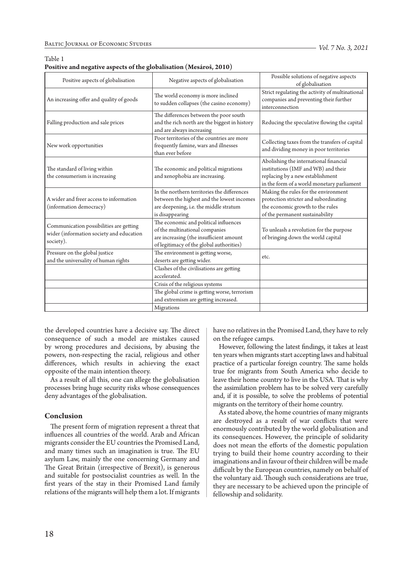#### Table 1

| Positive aspects of globalisation                                                                | Negative aspects of globalisation                                                                                                                              | Possible solutions of negative aspects<br>of globalisation                                                                                                      |
|--------------------------------------------------------------------------------------------------|----------------------------------------------------------------------------------------------------------------------------------------------------------------|-----------------------------------------------------------------------------------------------------------------------------------------------------------------|
| An increasing offer and quality of goods                                                         | The world economy is more inclined<br>to sudden collapses (the casino economy)                                                                                 | Strict regulating the activity of multinational<br>companies and preventing their further<br>interconnection                                                    |
| Falling production and sale prices                                                               | The differences between the poor south<br>and the rich north are the biggest in history<br>and are always increasing                                           | Reducing the speculative flowing the capital                                                                                                                    |
| New work opportunities                                                                           | Poor territories of the countries are more<br>frequently famine, wars and illnesses<br>than ever before                                                        | Collecting taxes from the transfers of capital<br>and dividing money in poor territories                                                                        |
| The standard of living within<br>the consumerism is increasing                                   | The economic and political migrations<br>and xenophobia are increasing.                                                                                        | Abolishing the international financial<br>institutions (IMF and WB) and their<br>replacing by a new establishment<br>in the form of a world monetary parliament |
| A wider and freer access to information<br>(information democracy)                               | In the northern territories the differences<br>between the highest and the lowest incomes<br>are deepening, i.e. the middle stratum<br>is disappearing         | Making the rules for the environment<br>protection stricter and subordinating<br>the economic growth to the rules<br>of the permanent sustainability            |
| Communication possibilities are getting<br>wider (information society and education<br>society). | The economic and political influences<br>of the multinational companies<br>are increasing (the insufficient amount<br>of legitimacy of the global authorities) | To unleash a revolution for the purpose<br>of bringing down the world capital                                                                                   |
| Pressure on the global justice<br>and the universality of human rights                           | The environment is getting worse,<br>deserts are getting wider.                                                                                                | etc.                                                                                                                                                            |
|                                                                                                  | Clashes of the civilisations are getting<br>accelerated.                                                                                                       |                                                                                                                                                                 |
|                                                                                                  | Crisis of the religious systems                                                                                                                                |                                                                                                                                                                 |
|                                                                                                  | The global crime is getting worse, terrorism<br>and extremism are getting increased.                                                                           |                                                                                                                                                                 |
|                                                                                                  | Migrations                                                                                                                                                     |                                                                                                                                                                 |

| Positive and negative aspects of the globalisation (Mesároš, 2010) |  |  |
|--------------------------------------------------------------------|--|--|
|--------------------------------------------------------------------|--|--|

the developed countries have a decisive say. The direct consequence of such a model are mistakes caused by wrong procedures and decisions, by abusing the powers, non-respecting the racial, religious and other differences, which results in achieving the exact opposite of the main intention theory.

As a result of all this, one can allege the globalisation processes bring huge security risks whose consequences deny advantages of the globalisation.

#### **Conclusion**

The present form of migration represent a threat that influences all countries of the world. Arab and African migrants consider the EU countries the Promised Land, and many times such an imagination is true. The EU asylum Law, mainly the one concerning Germany and The Great Britain (irrespective of Brexit), is generous and suitable for postsocialist countries as well. In the first years of the stay in their Promised Land family relations of the migrants will help them a lot. If migrants have no relatives in the Promised Land, they have to rely on the refugee camps.

However, following the latest findings, it takes at least ten years when migrants start accepting laws and habitual practice of a particular foreign country. The same holds true for migrants from South America who decide to leave their home country to live in the USA. That is why the assimilation problem has to be solved very carefully and, if it is possible, to solve the problems of potential migrants on the territory of their home country.

As stated above, the home countries of many migrants are destroyed as a result of war conflicts that were enormously contributed by the world globalisation and its consequences. However, the principle of solidarity does not mean the efforts of the domestic population trying to build their home country according to their imaginations and in favour of their children will be made difficult by the European countries, namely on behalf of the voluntary aid. Though such considerations are true, they are necessary to be achieved upon the principle of fellowship and solidarity.